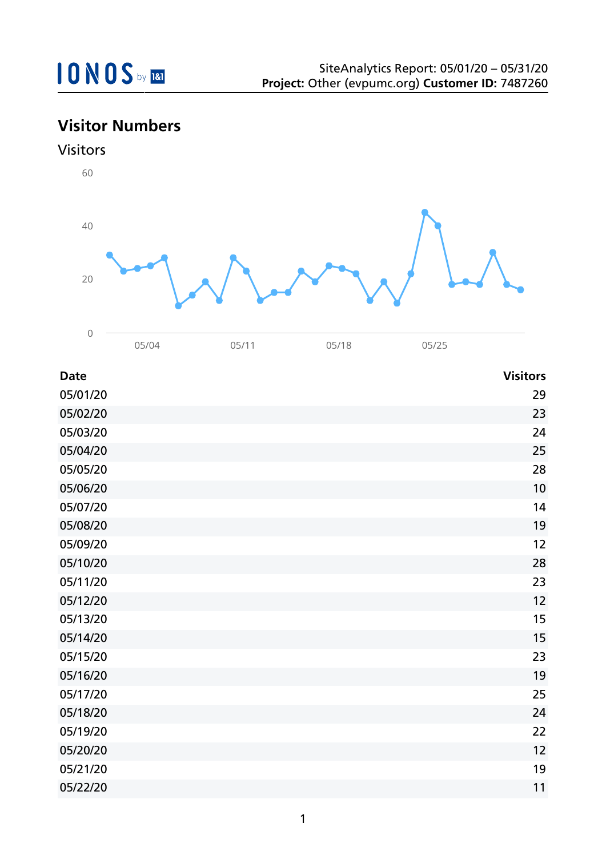# **Visitor Numbers**





| <b>Date</b> | <b>Visitors</b> |
|-------------|-----------------|
| 05/01/20    | 29              |
| 05/02/20    | 23              |
| 05/03/20    | 24              |
| 05/04/20    | 25              |
| 05/05/20    | 28              |
| 05/06/20    | 10              |
| 05/07/20    | 14              |
| 05/08/20    | 19              |
| 05/09/20    | 12              |
| 05/10/20    | 28              |
| 05/11/20    | 23              |
| 05/12/20    | 12              |
| 05/13/20    | 15              |
| 05/14/20    | 15              |
| 05/15/20    | 23              |
| 05/16/20    | 19              |
| 05/17/20    | 25              |
| 05/18/20    | 24              |
| 05/19/20    | 22              |
| 05/20/20    | 12              |
| 05/21/20    | 19              |
| 05/22/20    | 11              |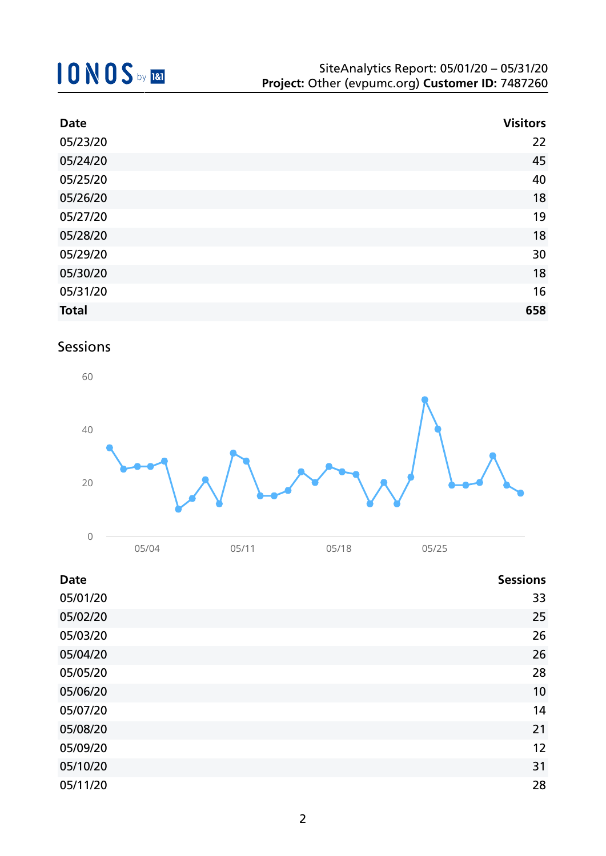| <b>Date</b>  | <b>Visitors</b> |
|--------------|-----------------|
| 05/23/20     | 22              |
| 05/24/20     | 45              |
| 05/25/20     | 40              |
| 05/26/20     | 18              |
| 05/27/20     | 19              |
| 05/28/20     | 18              |
| 05/29/20     | 30              |
| 05/30/20     | 18              |
| 05/31/20     | 16              |
| <b>Total</b> | 658             |

### Sessions



| <b>Date</b> | <b>Sessions</b> |
|-------------|-----------------|
| 05/01/20    | 33              |
| 05/02/20    | 25              |
| 05/03/20    | 26              |
| 05/04/20    | 26              |
| 05/05/20    | 28              |
| 05/06/20    | 10              |
| 05/07/20    | 14              |
| 05/08/20    | 21              |
| 05/09/20    | 12              |
| 05/10/20    | 31              |
| 05/11/20    | 28              |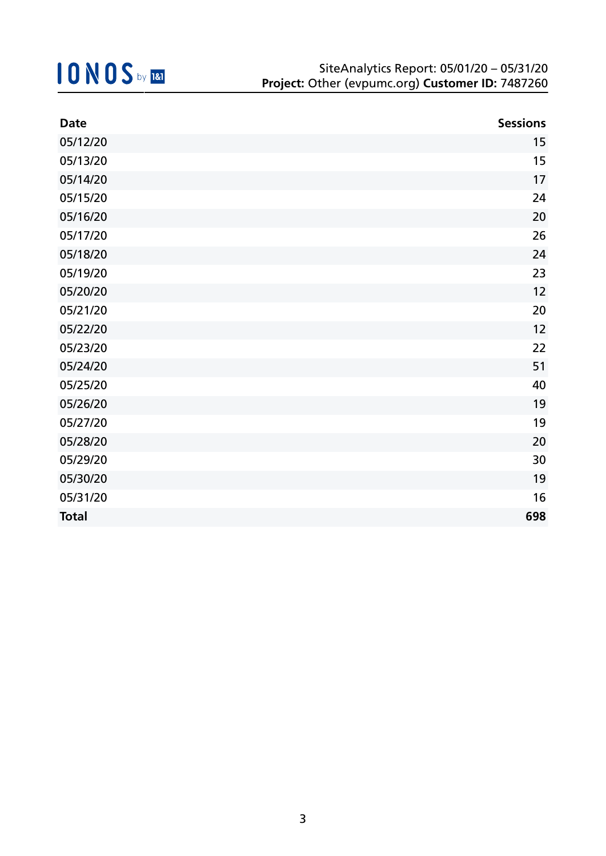| <b>Date</b>  | <b>Sessions</b> |
|--------------|-----------------|
| 05/12/20     | 15              |
| 05/13/20     | 15              |
| 05/14/20     | 17              |
| 05/15/20     | 24              |
| 05/16/20     | 20              |
| 05/17/20     | 26              |
| 05/18/20     | 24              |
| 05/19/20     | 23              |
| 05/20/20     | 12              |
| 05/21/20     | 20              |
| 05/22/20     | 12              |
| 05/23/20     | 22              |
| 05/24/20     | 51              |
| 05/25/20     | 40              |
| 05/26/20     | 19              |
| 05/27/20     | 19              |
| 05/28/20     | 20              |
| 05/29/20     | 30              |
| 05/30/20     | 19              |
| 05/31/20     | 16              |
| <b>Total</b> | 698             |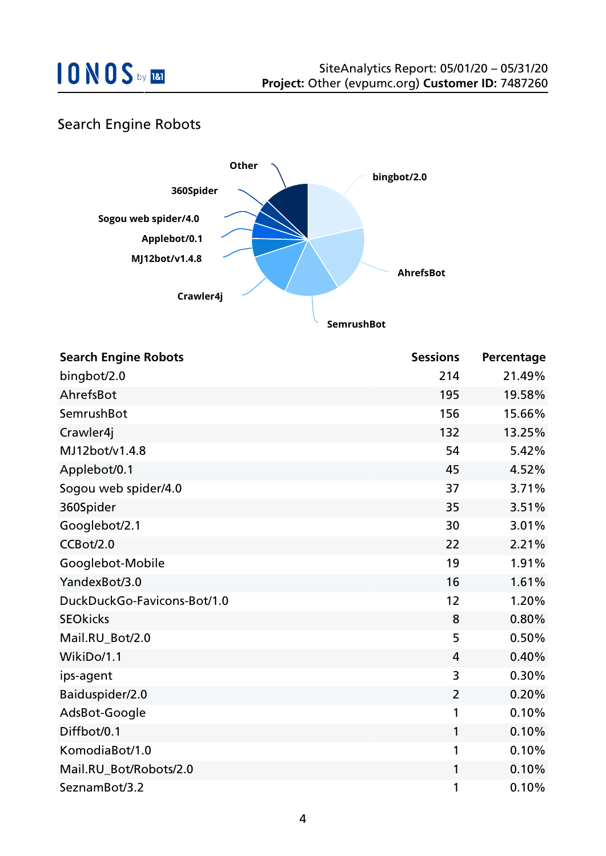

### Search Engine Robots



| <b>Search Engine Robots</b> | <b>Sessions</b> | Percentage |
|-----------------------------|-----------------|------------|
| bingbot/2.0                 | 214             | 21.49%     |
| AhrefsBot                   | 195             | 19.58%     |
| SemrushBot                  | 156             | 15.66%     |
| Crawler4j                   | 132             | 13.25%     |
| MJ12bot/v1.4.8              | 54              | 5.42%      |
| Applebot/0.1                | 45              | 4.52%      |
| Sogou web spider/4.0        | 37              | 3.71%      |
| 360Spider                   | 35              | 3.51%      |
| Googlebot/2.1               | 30              | 3.01%      |
| CCBot/2.0                   | 22              | 2.21%      |
| Googlebot-Mobile            | 19              | 1.91%      |
| YandexBot/3.0               | 16              | 1.61%      |
| DuckDuckGo-Favicons-Bot/1.0 | 12              | 1.20%      |
| <b>SEOkicks</b>             | 8               | 0.80%      |
| Mail.RU_Bot/2.0             | 5               | 0.50%      |
| WikiDo/1.1                  | 4               | 0.40%      |
| ips-agent                   | 3               | 0.30%      |
| Baiduspider/2.0             | $\overline{2}$  | 0.20%      |
| AdsBot-Google               | 1               | 0.10%      |
| Diffbot/0.1                 | 1               | 0.10%      |
| KomodiaBot/1.0              | 1               | 0.10%      |
| Mail.RU_Bot/Robots/2.0      | $\mathbf{1}$    | 0.10%      |
| SeznamBot/3.2               | 1               | 0.10%      |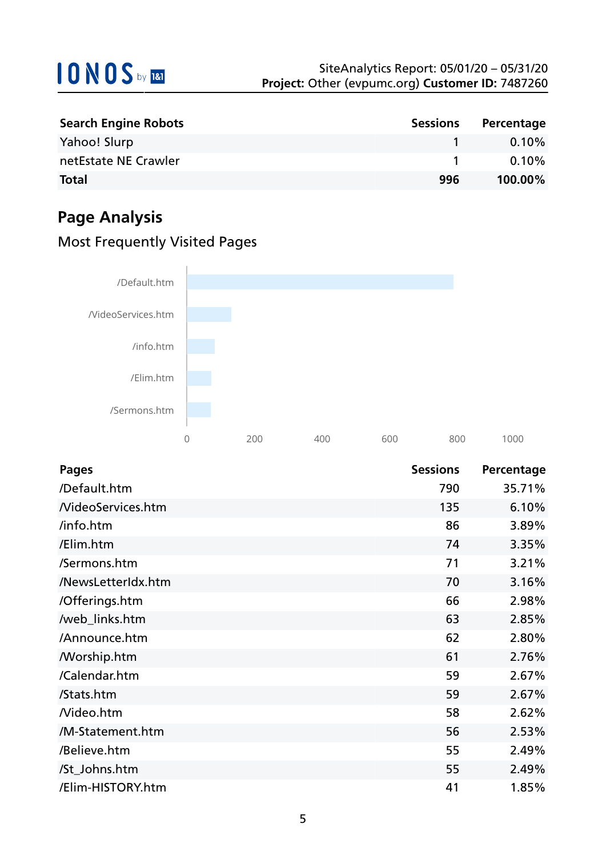| <b>Search Engine Robots</b> | <b>Sessions</b> | Percentage |
|-----------------------------|-----------------|------------|
| Yahoo! Slurp                |                 | $0.10\%$   |
| netEstate NE Crawler        |                 | $0.10\%$   |
| <b>Total</b>                | 996             | $100.00\%$ |

## **Page Analysis**

### Most Frequently Visited Pages



| <b>Pages</b>             | <b>Sessions</b> | Percentage |
|--------------------------|-----------------|------------|
| /Default.htm             | 790             | 35.71%     |
| <b>NideoServices.htm</b> | 135             | 6.10%      |
| /info.htm                | 86              | 3.89%      |
| /Elim.htm                | 74              | 3.35%      |
| /Sermons.htm             | 71              | 3.21%      |
| /NewsLetterIdx.htm       | 70              | 3.16%      |
| /Offerings.htm           | 66              | 2.98%      |
| /web_links.htm           | 63              | 2.85%      |
| /Announce.htm            | 62              | 2.80%      |
| <b>Morship.htm</b>       | 61              | 2.76%      |
| /Calendar.htm            | 59              | 2.67%      |
| /Stats.htm               | 59              | 2.67%      |
| Nideo.htm                | 58              | 2.62%      |
| /M-Statement.htm         | 56              | 2.53%      |
| /Believe.htm             | 55              | 2.49%      |
| /St_Johns.htm            | 55              | 2.49%      |
| /Elim-HISTORY.htm        | 41              | 1.85%      |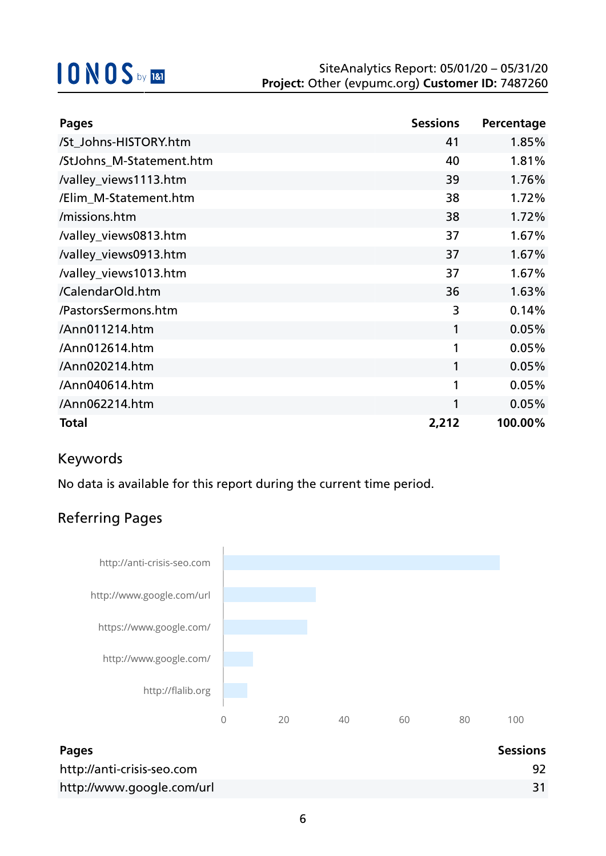| <b>Pages</b>             | <b>Sessions</b> | Percentage |
|--------------------------|-----------------|------------|
| /St_Johns-HISTORY.htm    | 41              | 1.85%      |
| /StJohns_M-Statement.htm | 40              | 1.81%      |
| /valley_views1113.htm    | 39              | 1.76%      |
| /Elim M-Statement.htm    | 38              | 1.72%      |
| /missions.htm            | 38              | 1.72%      |
| /valley_views0813.htm    | 37              | 1.67%      |
| /valley_views0913.htm    | 37              | 1.67%      |
| /valley_views1013.htm    | 37              | 1.67%      |
| /CalendarOld.htm         | 36              | 1.63%      |
| /PastorsSermons.htm      | 3               | 0.14%      |
| /Ann011214.htm           | 1               | 0.05%      |
| /Ann012614.htm           | 1               | 0.05%      |
| /Ann020214.htm           | 1               | 0.05%      |
| /Ann040614.htm           | 1               | 0.05%      |
| /Ann062214.htm           | 1               | 0.05%      |
| <b>Total</b>             | 2,212           | 100.00%    |

### Keywords

No data is available for this report during the current time period.

### Referring Pages



| <b>Pages</b>               | <b>Sessions</b> |
|----------------------------|-----------------|
| http://anti-crisis-seo.com |                 |
| http://www.google.com/url  |                 |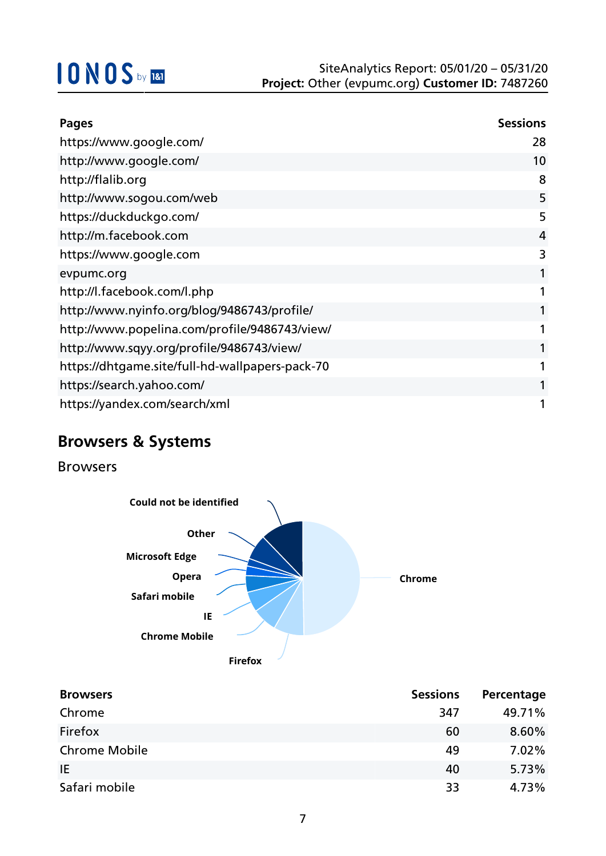| <b>Pages</b>                                    | <b>Sessions</b> |
|-------------------------------------------------|-----------------|
| https://www.google.com/                         | 28              |
| http://www.google.com/                          | 10              |
| http://flalib.org                               | 8               |
| http://www.sogou.com/web                        | 5               |
| https://duckduckgo.com/                         | 5               |
| http://m.facebook.com                           | 4               |
| https://www.google.com                          | 3               |
| evpumc.org                                      |                 |
| http://l.facebook.com/l.php                     |                 |
| http://www.nyinfo.org/blog/9486743/profile/     |                 |
| http://www.popelina.com/profile/9486743/view/   |                 |
| http://www.sqyy.org/profile/9486743/view/       |                 |
| https://dhtgame.site/full-hd-wallpapers-pack-70 |                 |
| https://search.yahoo.com/                       |                 |
| https://yandex.com/search/xml                   |                 |

## **Browsers & Systems**

Browsers



| <b>Browsers</b>      | <b>Sessions</b> | Percentage |
|----------------------|-----------------|------------|
| Chrome               | 347             | 49.71%     |
| Firefox              | 60              | 8.60%      |
| <b>Chrome Mobile</b> | 49              | 7.02%      |
| IE.                  | 40              | 5.73%      |
| Safari mobile        | 33              | 4.73%      |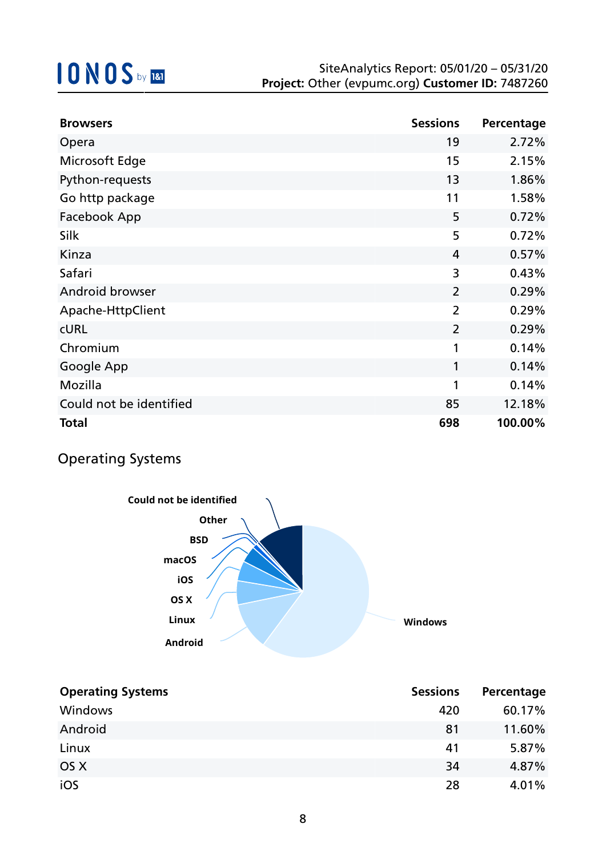| <b>Browsers</b>         | <b>Sessions</b> | Percentage |
|-------------------------|-----------------|------------|
| Opera                   | 19              | 2.72%      |
| Microsoft Edge          | 15              | 2.15%      |
| Python-requests         | 13              | 1.86%      |
| Go http package         | 11              | 1.58%      |
| Facebook App            | 5               | 0.72%      |
| Silk                    | 5               | 0.72%      |
| Kinza                   | $\overline{4}$  | 0.57%      |
| Safari                  | 3               | 0.43%      |
| Android browser         | $\overline{2}$  | 0.29%      |
| Apache-HttpClient       | $\overline{2}$  | 0.29%      |
| <b>CURL</b>             | $\overline{2}$  | 0.29%      |
| Chromium                | 1               | 0.14%      |
| Google App              | 1               | 0.14%      |
| Mozilla                 | 1               | 0.14%      |
| Could not be identified | 85              | 12.18%     |
| <b>Total</b>            | 698             | 100.00%    |

### Operating Systems



| <b>Operating Systems</b> | <b>Sessions</b> | Percentage |
|--------------------------|-----------------|------------|
| Windows                  | 420             | 60.17%     |
| Android                  | 81              | 11.60%     |
| Linux                    | 41              | 5.87%      |
| OS X                     | 34              | 4.87%      |
| iOS                      | 28              | 4.01%      |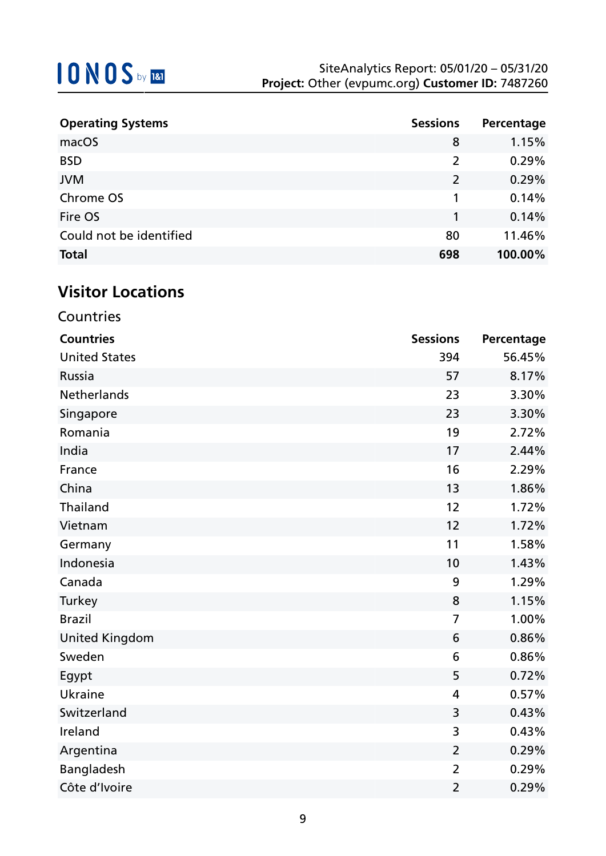| <b>Operating Systems</b> | <b>Sessions</b> | Percentage |
|--------------------------|-----------------|------------|
| macOS                    | 8               | 1.15%      |
| <b>BSD</b>               | 2               | 0.29%      |
| <b>JVM</b>               | $\overline{2}$  | 0.29%      |
| Chrome OS                |                 | 0.14%      |
| Fire OS                  | 1               | 0.14%      |
| Could not be identified  | 80              | 11.46%     |
| <b>Total</b>             | 698             | 100.00%    |

# **Visitor Locations**

| Countries             |                 |            |
|-----------------------|-----------------|------------|
| <b>Countries</b>      | <b>Sessions</b> | Percentage |
| <b>United States</b>  | 394             | 56.45%     |
| Russia                | 57              | 8.17%      |
| Netherlands           | 23              | 3.30%      |
| Singapore             | 23              | 3.30%      |
| Romania               | 19              | 2.72%      |
| India                 | 17              | 2.44%      |
| France                | 16              | 2.29%      |
| China                 | 13              | 1.86%      |
| Thailand              | 12              | 1.72%      |
| Vietnam               | 12              | 1.72%      |
| Germany               | 11              | 1.58%      |
| Indonesia             | 10              | 1.43%      |
| Canada                | 9               | 1.29%      |
| Turkey                | 8               | 1.15%      |
| <b>Brazil</b>         | $\overline{7}$  | 1.00%      |
| <b>United Kingdom</b> | 6               | 0.86%      |
| Sweden                | 6               | 0.86%      |
| Egypt                 | 5               | 0.72%      |
| Ukraine               | 4               | 0.57%      |
| Switzerland           | 3               | 0.43%      |
| Ireland               | 3               | 0.43%      |
| Argentina             | $\overline{2}$  | 0.29%      |
| Bangladesh            | $\overline{2}$  | 0.29%      |
| Côte d'Ivoire         | $\overline{2}$  | 0.29%      |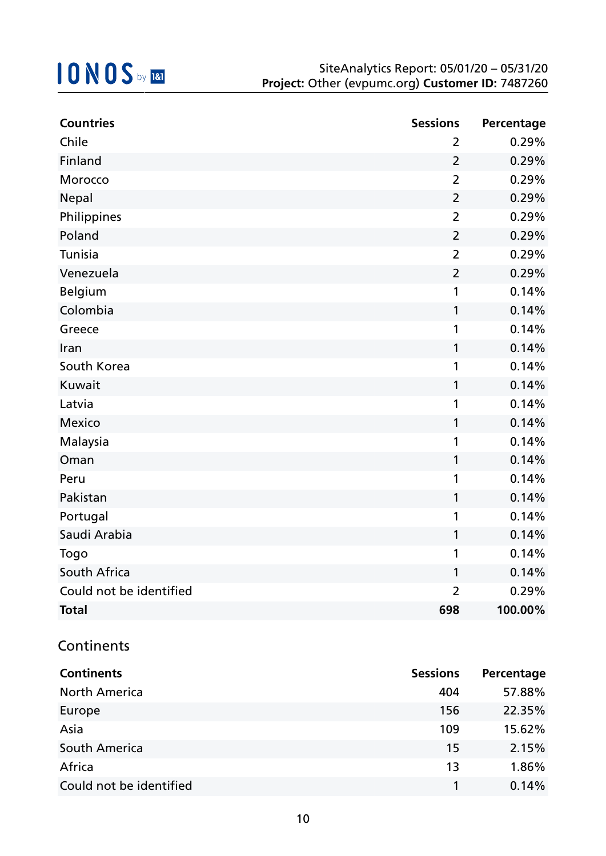| <b>Countries</b>        | <b>Sessions</b> | Percentage |
|-------------------------|-----------------|------------|
| Chile                   | $\overline{2}$  | 0.29%      |
| Finland                 | $\overline{2}$  | 0.29%      |
| Morocco                 | $\overline{2}$  | 0.29%      |
| Nepal                   | $\overline{2}$  | 0.29%      |
| Philippines             | $\overline{2}$  | 0.29%      |
| Poland                  | $\overline{2}$  | 0.29%      |
| Tunisia                 | $\overline{2}$  | 0.29%      |
| Venezuela               | $\overline{2}$  | 0.29%      |
| Belgium                 | 1               | 0.14%      |
| Colombia                | 1               | 0.14%      |
| Greece                  | 1               | 0.14%      |
| Iran                    | 1               | 0.14%      |
| South Korea             | 1               | 0.14%      |
| Kuwait                  | 1               | 0.14%      |
| Latvia                  | 1               | 0.14%      |
| <b>Mexico</b>           | 1               | 0.14%      |
| Malaysia                | 1               | 0.14%      |
| Oman                    | 1               | 0.14%      |
| Peru                    | 1               | 0.14%      |
| Pakistan                | $\mathbf{1}$    | 0.14%      |
| Portugal                | 1               | 0.14%      |
| Saudi Arabia            | 1               | 0.14%      |
| Togo                    | 1               | 0.14%      |
| South Africa            | 1               | 0.14%      |
| Could not be identified | $\overline{2}$  | 0.29%      |
| <b>Total</b>            | 698             | 100.00%    |

### **Continents**

| <b>Continents</b>       | <b>Sessions</b> | Percentage |
|-------------------------|-----------------|------------|
| <b>North America</b>    | 404             | 57.88%     |
| Europe                  | 156             | 22.35%     |
| Asia                    | 109             | 15.62%     |
| South America           | 15              | 2.15%      |
| Africa                  | 13              | 1.86%      |
| Could not be identified |                 | 0.14%      |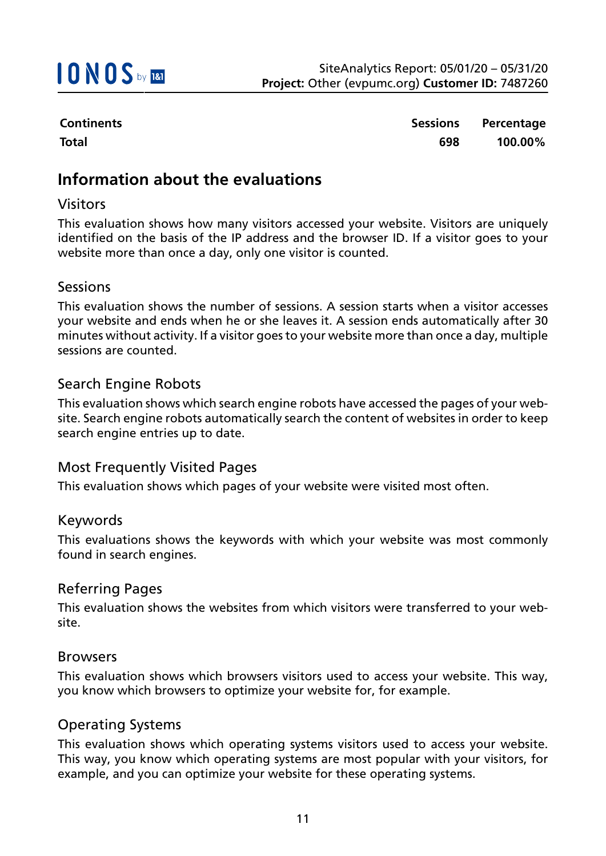

**Continents Sessions Percentage Total 698 100.00%**

### **Information about the evaluations**

#### Visitors

This evaluation shows how many visitors accessed your website. Visitors are uniquely identified on the basis of the IP address and the browser ID. If a visitor goes to your website more than once a day, only one visitor is counted.

#### Sessions

This evaluation shows the number of sessions. A session starts when a visitor accesses your website and ends when he or she leaves it. A session ends automatically after 30 minutes without activity. If a visitor goes to your website more than once a day, multiple sessions are counted.

#### Search Engine Robots

This evaluation shows which search engine robots have accessed the pages of your website. Search engine robots automatically search the content of websites in order to keep search engine entries up to date.

#### Most Frequently Visited Pages

This evaluation shows which pages of your website were visited most often.

#### Keywords

This evaluations shows the keywords with which your website was most commonly found in search engines.

#### Referring Pages

This evaluation shows the websites from which visitors were transferred to your website.

#### Browsers

This evaluation shows which browsers visitors used to access your website. This way, you know which browsers to optimize your website for, for example.

#### Operating Systems

This evaluation shows which operating systems visitors used to access your website. This way, you know which operating systems are most popular with your visitors, for example, and you can optimize your website for these operating systems.